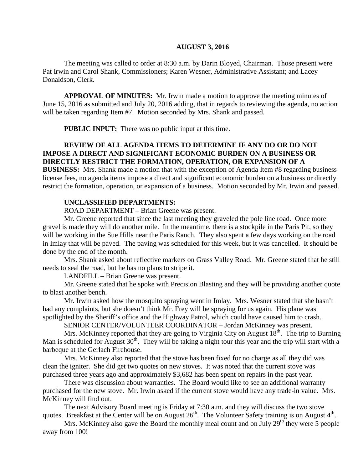#### **AUGUST 3, 2016**

The meeting was called to order at 8:30 a.m. by Darin Bloyed, Chairman. Those present were Pat Irwin and Carol Shank, Commissioners; Karen Wesner, Administrative Assistant; and Lacey Donaldson, Clerk.

**APPROVAL OF MINUTES:** Mr. Irwin made a motion to approve the meeting minutes of June 15, 2016 as submitted and July 20, 2016 adding, that in regards to reviewing the agenda, no action will be taken regarding Item #7. Motion seconded by Mrs. Shank and passed.

 **PUBLIC INPUT:** There was no public input at this time.

### **REVIEW OF ALL AGENDA ITEMS TO DETERMINE IF ANY DO OR DO NOT IMPOSE A DIRECT AND SIGNIFICANT ECONOMIC BURDEN ON A BUSINESS OR DIRECTLY RESTRICT THE FORMATION, OPERATION, OR EXPANSION OF A**

**BUSINESS:** Mrs. Shank made a motion that with the exception of Agenda Item #8 regarding business license fees, no agenda items impose a direct and significant economic burden on a business or directly restrict the formation, operation, or expansion of a business. Motion seconded by Mr. Irwin and passed.

#### **UNCLASSIFIED DEPARTMENTS:**

ROAD DEPARTMENT – Brian Greene was present.

Mr. Greene reported that since the last meeting they graveled the pole line road. Once more gravel is made they will do another mile. In the meantime, there is a stockpile in the Paris Pit, so they will be working in the Sue Hills near the Paris Ranch. They also spent a few days working on the road in Imlay that will be paved. The paving was scheduled for this week, but it was cancelled. It should be done by the end of the month.

Mrs. Shank asked about reflective markers on Grass Valley Road. Mr. Greene stated that he still needs to seal the road, but he has no plans to stripe it.

LANDFILL – Brian Greene was present.

Mr. Greene stated that he spoke with Precision Blasting and they will be providing another quote to blast another bench.

Mr. Irwin asked how the mosquito spraying went in Imlay. Mrs. Wesner stated that she hasn't had any complaints, but she doesn't think Mr. Frey will be spraying for us again. His plane was spotlighted by the Sheriff's office and the Highway Patrol, which could have caused him to crash.

SENIOR CENTER/VOLUNTEER COORDINATOR – Jordan McKinney was present.

Mrs. McKinney reported that they are going to Virginia City on August  $18<sup>th</sup>$ . The trip to Burning Man is scheduled for August  $30<sup>th</sup>$ . They will be taking a night tour this year and the trip will start with a barbeque at the Gerlach Firehouse.

Mrs. McKinney also reported that the stove has been fixed for no charge as all they did was clean the igniter. She did get two quotes on new stoves. It was noted that the current stove was purchased three years ago and approximately \$3,682 has been spent on repairs in the past year.

There was discussion about warranties. The Board would like to see an additional warranty purchased for the new stove. Mr. Irwin asked if the current stove would have any trade-in value. Mrs. McKinney will find out.

The next Advisory Board meeting is Friday at 7:30 a.m. and they will discuss the two stove quotes. Breakfast at the Center will be on August  $26<sup>th</sup>$ . The Volunteer Safety training is on August  $4<sup>th</sup>$ .

Mrs. McKinney also gave the Board the monthly meal count and on July  $29<sup>th</sup>$  they were 5 people away from 100!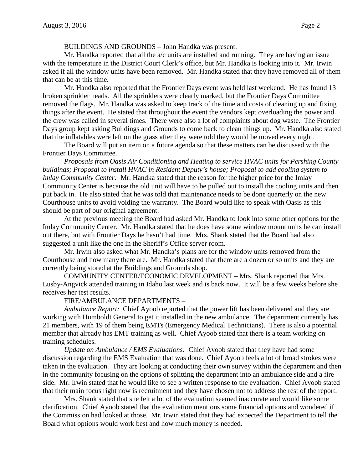### BUILDINGS AND GROUNDS – John Handka was present.

Mr. Handka reported that all the  $a/c$  units are installed and running. They are having an issue with the temperature in the District Court Clerk's office, but Mr. Handka is looking into it. Mr. Irwin asked if all the window units have been removed. Mr. Handka stated that they have removed all of them that can be at this time.

Mr. Handka also reported that the Frontier Days event was held last weekend. He has found 13 broken sprinkler heads. All the sprinklers were clearly marked, but the Frontier Days Committee removed the flags. Mr. Handka was asked to keep track of the time and costs of cleaning up and fixing things after the event. He stated that throughout the event the vendors kept overloading the power and the crew was called in several times. There were also a lot of complaints about dog waste. The Frontier Days group kept asking Buildings and Grounds to come back to clean things up. Mr. Handka also stated that the inflatables were left on the grass after they were told they would be moved every night.

The Board will put an item on a future agenda so that these matters can be discussed with the Frontier Days Committee.

*Proposals from Oasis Air Conditioning and Heating to service HVAC units for Pershing County buildings; Proposal to install HVAC in Resident Deputy's house; Proposal to add cooling system to Imlay Community Center:* Mr. Handka stated that the reason for the higher price for the Imlay Community Center is because the old unit will have to be pulled out to install the cooling units and then put back in. He also stated that he was told that maintenance needs to be done quarterly on the new Courthouse units to avoid voiding the warranty. The Board would like to speak with Oasis as this should be part of our original agreement.

At the previous meeting the Board had asked Mr. Handka to look into some other options for the Imlay Community Center. Mr. Handka stated that he does have some window mount units he can install out there, but with Frontier Days he hasn't had time. Mrs. Shank stated that the Board had also suggested a unit like the one in the Sheriff's Office server room.

Mr. Irwin also asked what Mr. Handka's plans are for the window units removed from the Courthouse and how many there are. Mr. Handka stated that there are a dozen or so units and they are currently being stored at the Buildings and Grounds shop.

COMMUNITY CENTER/ECONOMIC DEVELOPMENT – Mrs. Shank reported that Mrs. Lusby-Angvick attended training in Idaho last week and is back now. It will be a few weeks before she receives her test results.

# FIRE/AMBULANCE DEPARTMENTS –

*Ambulance Report:* Chief Ayoob reported that the power lift has been delivered and they are working with Humboldt General to get it installed in the new ambulance. The department currently has 21 members, with 19 of them being EMTs (Emergency Medical Technicians). There is also a potential member that already has EMT training as well. Chief Ayoob stated that there is a team working on training schedules.

*Update on Ambulance / EMS Evaluations:* Chief Ayoob stated that they have had some discussion regarding the EMS Evaluation that was done. Chief Ayoob feels a lot of broad strokes were taken in the evaluation. They are looking at conducting their own survey within the department and then in the community focusing on the options of splitting the department into an ambulance side and a fire side. Mr. Irwin stated that he would like to see a written response to the evaluation. Chief Ayoob stated that their main focus right now is recruitment and they have chosen not to address the rest of the report.

Mrs. Shank stated that she felt a lot of the evaluation seemed inaccurate and would like some clarification. Chief Ayoob stated that the evaluation mentions some financial options and wondered if the Commission had looked at those. Mr. Irwin stated that they had expected the Department to tell the Board what options would work best and how much money is needed.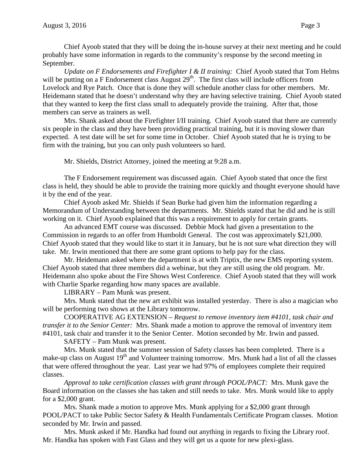Chief Ayoob stated that they will be doing the in-house survey at their next meeting and he could probably have some information in regards to the community's response by the second meeting in September.

*Update on F Endorsements and Firefighter I & II training:* Chief Ayoob stated that Tom Helms will be putting on a F Endorsement class August  $29<sup>th</sup>$ . The first class will include officers from Lovelock and Rye Patch. Once that is done they will schedule another class for other members. Mr. Heidemann stated that he doesn't understand why they are having selective training. Chief Ayoob stated that they wanted to keep the first class small to adequately provide the training. After that, those members can serve as trainers as well.

Mrs. Shank asked about the Firefighter I/II training. Chief Ayoob stated that there are currently six people in the class and they have been providing practical training, but it is moving slower than expected. A test date will be set for some time in October. Chief Ayoob stated that he is trying to be firm with the training, but you can only push volunteers so hard.

Mr. Shields, District Attorney, joined the meeting at 9:28 a.m.

The F Endorsement requirement was discussed again. Chief Ayoob stated that once the first class is held, they should be able to provide the training more quickly and thought everyone should have it by the end of the year.

Chief Ayoob asked Mr. Shields if Sean Burke had given him the information regarding a Memorandum of Understanding between the departments. Mr. Shields stated that he did and he is still working on it. Chief Ayoob explained that this was a requirement to apply for certain grants.

An advanced EMT course was discussed. Debbie Mock had given a presentation to the Commission in regards to an offer from Humboldt General. The cost was approximately \$21,000. Chief Ayoob stated that they would like to start it in January, but he is not sure what direction they will take. Mr. Irwin mentioned that there are some grant options to help pay for the class.

Mr. Heidemann asked where the department is at with Triptix, the new EMS reporting system. Chief Ayoob stated that three members did a webinar, but they are still using the old program. Mr. Heidemann also spoke about the Fire Shows West Conference. Chief Ayoob stated that they will work with Charlie Sparke regarding how many spaces are available.

LIBRARY – Pam Munk was present.

Mrs. Munk stated that the new art exhibit was installed yesterday. There is also a magician who will be performing two shows at the Library tomorrow.

COOPERATIVE AG EXTENSION – *Request to remove inventory item #4101, task chair and transfer it to the Senior Center:* Mrs. Shank made a motion to approve the removal of inventory item #4101, task chair and transfer it to the Senior Center. Motion seconded by Mr. Irwin and passed.

SAFETY – Pam Munk was present.

Mrs. Munk stated that the summer session of Safety classes has been completed. There is a make-up class on August 19<sup>th</sup> and Volunteer training tomorrow. Mrs. Munk had a list of all the classes that were offered throughout the year. Last year we had 97% of employees complete their required classes.

*Approval to take certification classes with grant through POOL/PACT:* Mrs. Munk gave the Board information on the classes she has taken and still needs to take. Mrs. Munk would like to apply for a \$2,000 grant.

Mrs. Shank made a motion to approve Mrs. Munk applying for a \$2,000 grant through POOL/PACT to take Public Sector Safety & Health Fundamentals Certificate Program classes. Motion seconded by Mr. Irwin and passed.

Mrs. Munk asked if Mr. Handka had found out anything in regards to fixing the Library roof. Mr. Handka has spoken with Fast Glass and they will get us a quote for new plexi-glass.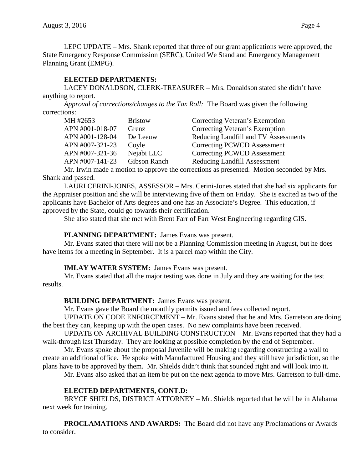LEPC UPDATE – Mrs. Shank reported that three of our grant applications were approved, the State Emergency Response Commission (SERC), United We Stand and Emergency Management Planning Grant (EMPG).

# **ELECTED DEPARTMENTS:**

LACEY DONALDSON, CLERK-TREASURER – Mrs. Donaldson stated she didn't have anything to report.

*Approval of corrections/changes to the Tax Roll:* The Board was given the following corrections:

| MH #2653        | <b>Bristow</b> | Correcting Veteran's Exemption       |
|-----------------|----------------|--------------------------------------|
| APN #001-018-07 | Grenz          | Correcting Veteran's Exemption       |
| APN #001-128-04 | De Leeuw       | Reducing Landfill and TV Assessments |
| APN #007-321-23 | Coyle          | Correcting PCWCD Assessment          |
| APN #007-321-36 | Nejabi LLC     | Correcting PCWCD Assessment          |
| APN #007-141-23 | Gibson Ranch   | <b>Reducing Landfill Assessment</b>  |

Mr. Irwin made a motion to approve the corrections as presented. Motion seconded by Mrs. Shank and passed.

LAURI CERINI-JONES, ASSESSOR – Mrs. Cerini-Jones stated that she had six applicants for the Appraiser position and she will be interviewing five of them on Friday. She is excited as two of the applicants have Bachelor of Arts degrees and one has an Associate's Degree. This education, if approved by the State, could go towards their certification.

She also stated that she met with Brent Farr of Farr West Engineering regarding GIS.

# **PLANNING DEPARTMENT:** James Evans was present.

Mr. Evans stated that there will not be a Planning Commission meeting in August, but he does have items for a meeting in September. It is a parcel map within the City.

# **IMLAY WATER SYSTEM:** James Evans was present.

Mr. Evans stated that all the major testing was done in July and they are waiting for the test results.

# **BUILDING DEPARTMENT:** James Evans was present.

Mr. Evans gave the Board the monthly permits issued and fees collected report.

UPDATE ON CODE ENFORCEMENT – Mr. Evans stated that he and Mrs. Garretson are doing the best they can, keeping up with the open cases. No new complaints have been received.

UPDATE ON ARCHIVAL BUILDING CONSTRUCTION – Mr. Evans reported that they had a walk-through last Thursday. They are looking at possible completion by the end of September.

Mr. Evans spoke about the proposal Juvenile will be making regarding constructing a wall to create an additional office. He spoke with Manufactured Housing and they still have jurisdiction, so the plans have to be approved by them. Mr. Shields didn't think that sounded right and will look into it.

Mr. Evans also asked that an item be put on the next agenda to move Mrs. Garretson to full-time.

# **ELECTED DEPARTMENTS, CONT.D:**

BRYCE SHIELDS, DISTRICT ATTORNEY – Mr. Shields reported that he will be in Alabama next week for training.

**PROCLAMATIONS AND AWARDS:** The Board did not have any Proclamations or Awards to consider.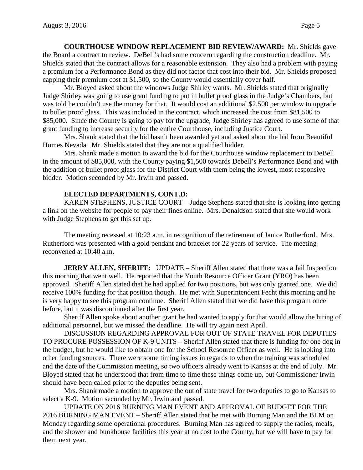**COURTHOUSE WINDOW REPLACEMENT BID REVIEW/AWARD:** Mr. Shields gave the Board a contract to review. DeBell's had some concern regarding the construction deadline. Mr. Shields stated that the contract allows for a reasonable extension. They also had a problem with paying a premium for a Performance Bond as they did not factor that cost into their bid. Mr. Shields proposed capping their premium cost at \$1,500, so the County would essentially cover half.

Mr. Bloyed asked about the windows Judge Shirley wants. Mr. Shields stated that originally Judge Shirley was going to use grant funding to put in bullet proof glass in the Judge's Chambers, but was told he couldn't use the money for that. It would cost an additional \$2,500 per window to upgrade to bullet proof glass. This was included in the contract, which increased the cost from \$81,500 to \$85,000. Since the County is going to pay for the upgrade, Judge Shirley has agreed to use some of that grant funding to increase security for the entire Courthouse, including Justice Court.

Mrs. Shank stated that the bid hasn't been awarded yet and asked about the bid from Beautiful Homes Nevada. Mr. Shields stated that they are not a qualified bidder.

Mrs. Shank made a motion to award the bid for the Courthouse window replacement to DeBell in the amount of \$85,000, with the County paying \$1,500 towards Debell's Performance Bond and with the addition of bullet proof glass for the District Court with them being the lowest, most responsive bidder. Motion seconded by Mr. Irwin and passed.

## **ELECTED DEPARTMENTS, CONT.D:**

KAREN STEPHENS, JUSTICE COURT – Judge Stephens stated that she is looking into getting a link on the website for people to pay their fines online. Mrs. Donaldson stated that she would work with Judge Stephens to get this set up.

The meeting recessed at 10:23 a.m. in recognition of the retirement of Janice Rutherford. Mrs. Rutherford was presented with a gold pendant and bracelet for 22 years of service. The meeting reconvened at 10:40 a.m.

**JERRY ALLEN, SHERIFF:** UPDATE – Sheriff Allen stated that there was a Jail Inspection this morning that went well. He reported that the Youth Resource Officer Grant (YRO) has been approved. Sheriff Allen stated that he had applied for two positions, but was only granted one. We did receive 100% funding for that position though. He met with Superintendent Fecht this morning and he is very happy to see this program continue. Sheriff Allen stated that we did have this program once before, but it was discontinued after the first year.

Sheriff Allen spoke about another grant he had wanted to apply for that would allow the hiring of additional personnel, but we missed the deadline. He will try again next April.

DISCUSSION REGARDING APPROVAL FOR OUT OF STATE TRAVEL FOR DEPUTIES TO PROCURE POSSESSION OF K-9 UNITS – Sheriff Allen stated that there is funding for one dog in the budget, but he would like to obtain one for the School Resource Officer as well. He is looking into other funding sources. There were some timing issues in regards to when the training was scheduled and the date of the Commission meeting, so two officers already went to Kansas at the end of July. Mr. Bloyed stated that he understood that from time to time these things come up, but Commissioner Irwin should have been called prior to the deputies being sent.

Mrs. Shank made a motion to approve the out of state travel for two deputies to go to Kansas to select a K-9. Motion seconded by Mr. Irwin and passed.

UPDATE ON 2016 BURNING MAN EVENT AND APPROVAL OF BUDGET FOR THE 2016 BURNING MAN EVENT – Sheriff Allen stated that he met with Burning Man and the BLM on Monday regarding some operational procedures. Burning Man has agreed to supply the radios, meals, and the shower and bunkhouse facilities this year at no cost to the County, but we will have to pay for them next year.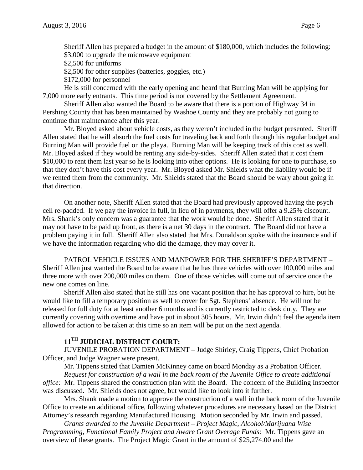Sheriff Allen has prepared a budget in the amount of \$180,000, which includes the following: \$3,000 to upgrade the microwave equipment

\$2,500 for uniforms

- \$2,500 for other supplies (batteries, goggles, etc.)
- \$172,000 for personnel

He is still concerned with the early opening and heard that Burning Man will be applying for 7,000 more early entrants. This time period is not covered by the Settlement Agreement.

Sheriff Allen also wanted the Board to be aware that there is a portion of Highway 34 in Pershing County that has been maintained by Washoe County and they are probably not going to continue that maintenance after this year.

Mr. Bloyed asked about vehicle costs, as they weren't included in the budget presented. Sheriff Allen stated that he will absorb the fuel costs for traveling back and forth through his regular budget and Burning Man will provide fuel on the playa. Burning Man will be keeping track of this cost as well. Mr. Bloyed asked if they would be renting any side-by-sides. Sheriff Allen stated that it cost them \$10,000 to rent them last year so he is looking into other options. He is looking for one to purchase, so that they don't have this cost every year. Mr. Bloyed asked Mr. Shields what the liability would be if we rented them from the community. Mr. Shields stated that the Board should be wary about going in that direction.

On another note, Sheriff Allen stated that the Board had previously approved having the psych cell re-padded. If we pay the invoice in full, in lieu of in payments, they will offer a 9.25% discount. Mrs. Shank's only concern was a guarantee that the work would be done. Sheriff Allen stated that it may not have to be paid up front, as there is a net 30 days in the contract. The Board did not have a problem paying it in full. Sheriff Allen also stated that Mrs. Donaldson spoke with the insurance and if we have the information regarding who did the damage, they may cover it.

PATROL VEHICLE ISSUES AND MANPOWER FOR THE SHERIFF'S DEPARTMENT – Sheriff Allen just wanted the Board to be aware that he has three vehicles with over 100,000 miles and three more with over 200,000 miles on them. One of those vehicles will come out of service once the new one comes on line.

Sheriff Allen also stated that he still has one vacant position that he has approval to hire, but he would like to fill a temporary position as well to cover for Sgt. Stephens' absence. He will not be released for full duty for at least another 6 months and is currently restricted to desk duty. They are currently covering with overtime and have put in about 305 hours. Mr. Irwin didn't feel the agenda item allowed for action to be taken at this time so an item will be put on the next agenda.

# **11TH JUDICIAL DISTRICT COURT:**

JUVENILE PROBATION DEPARTMENT – Judge Shirley, Craig Tippens, Chief Probation Officer, and Judge Wagner were present.

Mr. Tippens stated that Damien McKinney came on board Monday as a Probation Officer.

*Request for construction of a wall in the back room of the Juvenile Office to create additional office:* Mr. Tippens shared the construction plan with the Board. The concern of the Building Inspector was discussed. Mr. Shields does not agree, but would like to look into it further.

Mrs. Shank made a motion to approve the construction of a wall in the back room of the Juvenile Office to create an additional office, following whatever procedures are necessary based on the District Attorney's research regarding Manufactured Housing. Motion seconded by Mr. Irwin and passed.

*Grants awarded to the Juvenile Department – Project Magic, Alcohol/Marijuana Wise Programming, Functional Family Project and Aware Grant Overage Funds:* Mr. Tippens gave an overview of these grants. The Project Magic Grant in the amount of \$25,274.00 and the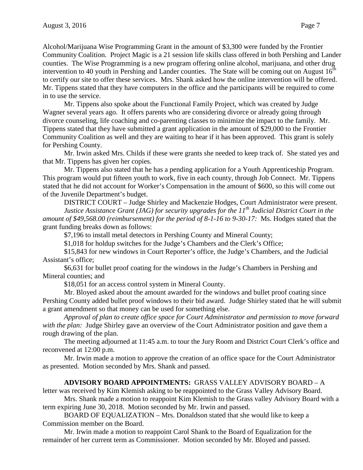Alcohol/Marijuana Wise Programming Grant in the amount of \$3,300 were funded by the Frontier Community Coalition. Project Magic is a 21 session life skills class offered in both Pershing and Lander counties. The Wise Programming is a new program offering online alcohol, marijuana, and other drug intervention to 40 youth in Pershing and Lander counties. The State will be coming out on August  $16<sup>th</sup>$ to certify our site to offer these services. Mrs. Shank asked how the online intervention will be offered. Mr. Tippens stated that they have computers in the office and the participants will be required to come in to use the service.

Mr. Tippens also spoke about the Functional Family Project, which was created by Judge Wagner several years ago. It offers parents who are considering divorce or already going through divorce counseling, life coaching and co-parenting classes to minimize the impact to the family. Mr. Tippens stated that they have submitted a grant application in the amount of \$29,000 to the Frontier Community Coalition as well and they are waiting to hear if it has been approved. This grant is solely for Pershing County.

Mr. Irwin asked Mrs. Childs if these were grants she needed to keep track of. She stated yes and that Mr. Tippens has given her copies.

Mr. Tippens also stated that he has a pending application for a Youth Apprenticeship Program. This program would put fifteen youth to work, five in each county, through Job Connect. Mr. Tippens stated that he did not account for Worker's Compensation in the amount of \$600, so this will come out of the Juvenile Department's budget.

DISTRICT COURT – Judge Shirley and Mackenzie Hodges, Court Administrator were present. *Justice Assistance Grant (JAG) for security upgrades for the 11th Judicial District Court in the amount of \$49,568.00 (reimbursement) for the period of 8-1-16 to 9-30-17:* Ms. Hodges stated that the grant funding breaks down as follows:

\$7,196 to install metal detectors in Pershing County and Mineral County;

\$1,018 for holdup switches for the Judge's Chambers and the Clerk's Office;

\$15,843 for new windows in Court Reporter's office, the Judge's Chambers, and the Judicial Assistant's office;

\$6,631 for bullet proof coating for the windows in the Judge's Chambers in Pershing and Mineral counties; and

\$18,051 for an access control system in Mineral County.

Mr. Bloyed asked about the amount awarded for the windows and bullet proof coating since Pershing County added bullet proof windows to their bid award. Judge Shirley stated that he will submit a grant amendment so that money can be used for something else.

*Approval of plan to create office space for Court Administrator and permission to move forward with the plan:* Judge Shirley gave an overview of the Court Administrator position and gave them a rough drawing of the plan.

The meeting adjourned at 11:45 a.m. to tour the Jury Room and District Court Clerk's office and reconvened at 12:00 p.m.

Mr. Irwin made a motion to approve the creation of an office space for the Court Administrator as presented. Motion seconded by Mrs. Shank and passed.

### **ADVISORY BOARD APPOINTMENTS:** GRASS VALLEY ADVISORY BOARD – A

letter was received by Kim Klemish asking to be reappointed to the Grass Valley Advisory Board.

Mrs. Shank made a motion to reappoint Kim Klemish to the Grass valley Advisory Board with a term expiring June 30, 2018. Motion seconded by Mr. Irwin and passed.

BOARD OF EQUALIZATION – Mrs. Donaldson stated that she would like to keep a Commission member on the Board.

Mr. Irwin made a motion to reappoint Carol Shank to the Board of Equalization for the remainder of her current term as Commissioner. Motion seconded by Mr. Bloyed and passed.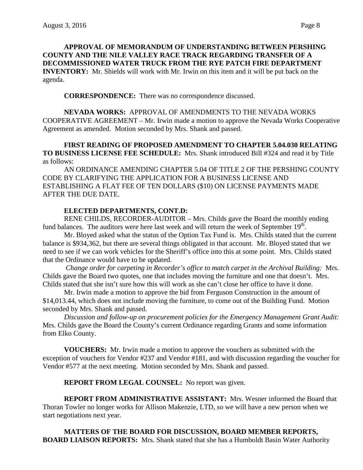**APPROVAL OF MEMORANDUM OF UNDERSTANDING BETWEEN PERSHING COUNTY AND THE NILE VALLEY RACE TRACK REGARDING TRANSFER OF A DECOMMISSIONED WATER TRUCK FROM THE RYE PATCH FIRE DEPARTMENT INVENTORY:** Mr. Shields will work with Mr. Irwin on this item and it will be put back on the agenda.

**CORRESPONDENCE:** There was no correspondence discussed.

**NEVADA WORKS:** APPROVAL OF AMENDMENTS TO THE NEVADA WORKS COOPERATIVE AGREEMENT – Mr. Irwin made a motion to approve the Nevada Works Cooperative Agreement as amended. Motion seconded by Mrs. Shank and passed.

**FIRST READING OF PROPOSED AMENDMENT TO CHAPTER 5.04.030 RELATING TO BUSINESS LICENSE FEE SCHEDULE:** Mrs. Shank introduced Bill #324 and read it by Title as follows:

AN ORDINANCE AMENDING CHAPTER 5.04 OF TITLE 2 OF THE PERSHING COUNTY CODE BY CLARIFYING THE APPLICATION FOR A BUSINESS LICENSE AND ESTABLISHING A FLAT FEE OF TEN DOLLARS (\$10) ON LICENSE PAYMENTS MADE AFTER THE DUE DATE.

## **ELECTED DEPARTMENTS, CONT.D:**

RENE CHILDS, RECORDER-AUDITOR – Mrs. Childs gave the Board the monthly ending fund balances. The auditors were here last week and will return the week of September  $19<sup>th</sup>$ .

Mr. Bloyed asked what the status of the Option Tax Fund is. Mrs. Childs stated that the current balance is \$934,362, but there are several things obligated in that account. Mr. Bloyed stated that we need to see if we can work vehicles for the Sheriff's office into this at some point. Mrs. Childs stated that the Ordinance would have to be updated.

*Change order for carpeting in Recorder's office to match carpet in the Archival Building:* Mrs. Childs gave the Board two quotes, one that includes moving the furniture and one that doesn't. Mrs. Childs stated that she isn't sure how this will work as she can't close her office to have it done.

Mr. Irwin made a motion to approve the bid from Ferguson Construction in the amount of \$14,013.44, which does not include moving the furniture, to come out of the Building Fund. Motion seconded by Mrs. Shank and passed.

*Discussion and follow-up on procurement policies for the Emergency Management Grant Audit:*  Mrs. Childs gave the Board the County's current Ordinance regarding Grants and some information from Elko County.

**VOUCHERS:** Mr. Irwin made a motion to approve the vouchers as submitted with the exception of vouchers for Vendor #237 and Vendor #181, and with discussion regarding the voucher for Vendor #577 at the next meeting. Motion seconded by Mrs. Shank and passed.

**REPORT FROM LEGAL COUNSEL:** No report was given.

**REPORT FROM ADMINISTRATIVE ASSISTANT:** Mrs. Wesner informed the Board that Thoran Towler no longer works for Allison Makenzie, LTD, so we will have a new person when we start negotiations next year.

**MATTERS OF THE BOARD FOR DISCUSSION, BOARD MEMBER REPORTS, BOARD LIAISON REPORTS:** Mrs. Shank stated that she has a Humboldt Basin Water Authority